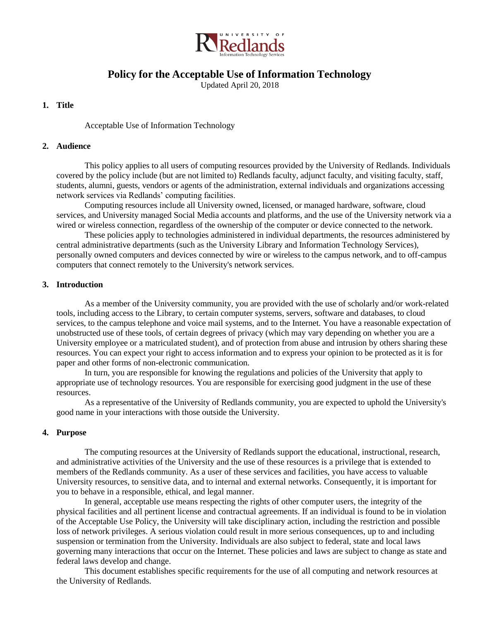

# **Policy for the Acceptable Use of Information Technology**

Updated April 20, 2018

## **1. Title**

Acceptable Use of Information Technology

#### **2. Audience**

This policy applies to all users of computing resources provided by the University of Redlands. Individuals covered by the policy include (but are not limited to) Redlands faculty, adjunct faculty, and visiting faculty, staff, students, alumni, guests, vendors or agents of the administration, external individuals and organizations accessing network services via Redlands' computing facilities.

Computing resources include all University owned, licensed, or managed hardware, software, cloud services, and University managed Social Media accounts and platforms, and the use of the University network via a wired or wireless connection, regardless of the ownership of the computer or device connected to the network.

These policies apply to technologies administered in individual departments, the resources administered by central administrative departments (such as the University Library and Information Technology Services), personally owned computers and devices connected by wire or wireless to the campus network, and to off-campus computers that connect remotely to the University's network services.

#### **3. Introduction**

As a member of the University community, you are provided with the use of scholarly and/or work-related tools, including access to the Library, to certain computer systems, servers, software and databases, to cloud services, to the campus telephone and voice mail systems, and to the Internet. You have a reasonable expectation of unobstructed use of these tools, of certain degrees of privacy (which may vary depending on whether you are a University employee or a matriculated student), and of protection from abuse and intrusion by others sharing these resources. You can expect your right to access information and to express your opinion to be protected as it is for paper and other forms of non-electronic communication.

In turn, you are responsible for knowing the regulations and policies of the University that apply to appropriate use of technology resources. You are responsible for exercising good judgment in the use of these resources.

As a representative of the University of Redlands community, you are expected to uphold the University's good name in your interactions with those outside the University.

#### **4. Purpose**

The computing resources at the University of Redlands support the educational, instructional, research, and administrative activities of the University and the use of these resources is a privilege that is extended to members of the Redlands community. As a user of these services and facilities, you have access to valuable University resources, to sensitive data, and to internal and external networks. Consequently, it is important for you to behave in a responsible, ethical, and legal manner.

In general, acceptable use means respecting the rights of other computer users, the integrity of the physical facilities and all pertinent license and contractual agreements. If an individual is found to be in violation of the Acceptable Use Policy, the University will take disciplinary action, including the restriction and possible loss of network privileges. A serious violation could result in more serious consequences, up to and including suspension or termination from the University. Individuals are also subject to federal, state and local laws governing many interactions that occur on the Internet. These policies and laws are subject to change as state and federal laws develop and change.

This document establishes specific requirements for the use of all computing and network resources at the University of Redlands.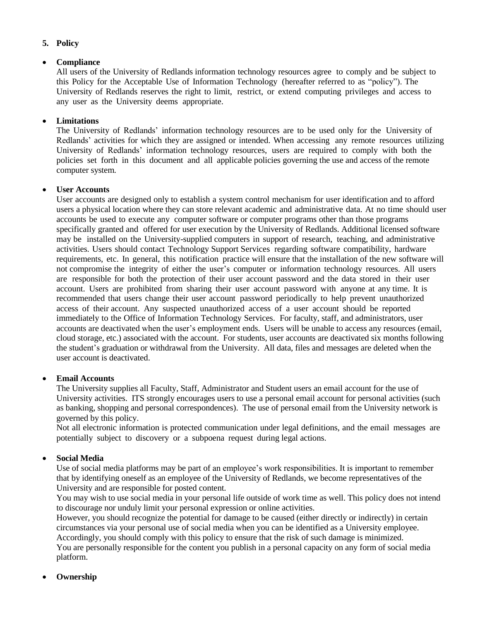## **5. Policy**

## **Compliance**

All users of the University of Redlands information technology resources agree to comply and be subject to this Policy for the Acceptable Use of Information Technology (hereafter referred to as "policy"). The University of Redlands reserves the right to limit, restrict, or extend computing privileges and access to any user as the University deems appropriate.

## **Limitations**

The University of Redlands' information technology resources are to be used only for the University of Redlands' activities for which they are assigned or intended. When accessing any remote resources utilizing University of Redlands' information technology resources, users are required to comply with both the policies set forth in this document and all applicable policies governing the use and access of the remote computer system.

### **User Accounts**

User accounts are designed only to establish a system control mechanism for user identification and to afford users a physical location where they can store relevant academic and administrative data. At no time should user accounts be used to execute any computer software or computer programs other than those programs specifically granted and offered for user execution by the University of Redlands. Additional licensed software may be installed on the University-supplied computers in support of research, teaching, and administrative activities. Users should contact Technology Support Services regarding software compatibility, hardware requirements, etc. In general, this notification practice will ensure that the installation of the new software will not compromise the integrity of either the user's computer or information technology resources. All users are responsible for both the protection of their user account password and the data stored in their user account. Users are prohibited from sharing their user account password with anyone at any time. It is recommended that users change their user account password periodically to help prevent unauthorized access of their account. Any suspected unauthorized access of a user account should be reported immediately to the Office of Information Technology Services. For faculty, staff, and administrators, user accounts are deactivated when the user's employment ends. Users will be unable to access any resources (email, cloud storage, etc.) associated with the account. For students, user accounts are deactivated six months following the student's graduation or withdrawal from the University. All data, files and messages are deleted when the user account is deactivated.

#### **Email Accounts**

The University supplies all Faculty, Staff, Administrator and Student users an email account for the use of University activities. ITS strongly encourages users to use a personal email account for personal activities (such as banking, shopping and personal correspondences). The use of personal email from the University network is governed by this policy.

Not all electronic information is protected communication under legal definitions, and the email messages are potentially subject to discovery or a subpoena request during legal actions.

## **Social Media**

Use of social media platforms may be part of an employee's work responsibilities. It is important to remember that by identifying oneself as an employee of the University of Redlands, we become representatives of the University and are responsible for posted content.

You may wish to use social media in your personal life outside of work time as well. This policy does not intend to discourage nor unduly limit your personal expression or online activities.

However, you should recognize the potential for damage to be caused (either directly or indirectly) in certain circumstances via your personal use of social media when you can be identified as a University employee. Accordingly, you should comply with this policy to ensure that the risk of such damage is minimized.

You are personally responsible for the content you publish in a personal capacity on any form of social media platform.

#### **Ownership**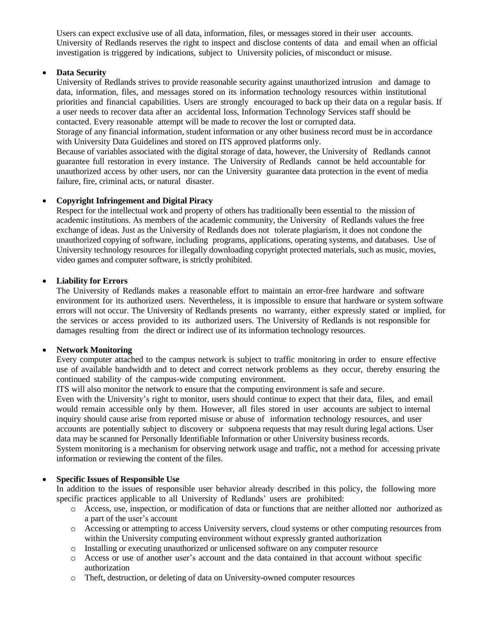Users can expect exclusive use of all data, information, files, or messages stored in their user accounts. University of Redlands reserves the right to inspect and disclose contents of data and email when an official investigation is triggered by indications, subject to University policies, of misconduct or misuse.

### **Data Security**

University of Redlands strives to provide reasonable security against unauthorized intrusion and damage to data, information, files, and messages stored on its information technology resources within institutional priorities and financial capabilities. Users are strongly encouraged to back up their data on a regular basis. If a user needs to recover data after an accidental loss, Information Technology Services staff should be contacted. Every reasonable attempt will be made to recover the lost or corrupted data.

Storage of any financial information, student information or any other business record must be in accordance with University Data Guidelines and stored on ITS approved platforms only.

Because of variables associated with the digital storage of data, however, the University of Redlands cannot guarantee full restoration in every instance. The University of Redlands cannot be held accountable for unauthorized access by other users, nor can the University guarantee data protection in the event of media failure, fire, criminal acts, or natural disaster.

#### **Copyright Infringement and Digital Piracy**

Respect for the intellectual work and property of others has traditionally been essential to the mission of academic institutions. As members of the academic community, the University of Redlands values the free exchange of ideas. Just as the University of Redlands does not tolerate plagiarism, it does not condone the unauthorized copying of software, including programs, applications, operating systems, and databases. Use of University technology resources for illegally downloading copyright protected materials, such as music, movies, video games and computer software, is strictly prohibited.

#### **Liability for Errors**

The University of Redlands makes a reasonable effort to maintain an error-free hardware and software environment for its authorized users. Nevertheless, it is impossible to ensure that hardware or system software errors will not occur. The University of Redlands presents no warranty, either expressly stated or implied, for the services or access provided to its authorized users. The University of Redlands is not responsible for damages resulting from the direct or indirect use of its information technology resources.

#### **Network Monitoring**

Every computer attached to the campus network is subject to traffic monitoring in order to ensure effective use of available bandwidth and to detect and correct network problems as they occur, thereby ensuring the continued stability of the campus-wide computing environment.

ITS will also monitor the network to ensure that the computing environment is safe and secure.

Even with the University's right to monitor, users should continue to expect that their data, files, and email would remain accessible only by them. However, all files stored in user accounts are subject to internal inquiry should cause arise from reported misuse or abuse of information technology resources, and user accounts are potentially subject to discovery or subpoena requests that may result during legal actions. User data may be scanned for Personally Identifiable Information or other University business records. System monitoring is a mechanism for observing network usage and traffic, not a method for accessing private

information or reviewing the content of the files.

#### **Specific Issues of Responsible Use**

In addition to the issues of responsible user behavior already described in this policy, the following more specific practices applicable to all University of Redlands' users are prohibited:

- o Access, use, inspection, or modification of data or functions that are neither allotted nor authorized as a part of the user's account
- o Accessing or attempting to access University servers, cloud systems or other computing resources from within the University computing environment without expressly granted authorization
- o Installing or executing unauthorized or unlicensed software on any computer resource
- o Access or use of another user's account and the data contained in that account without specific authorization
- o Theft, destruction, or deleting of data on University-owned computer resources